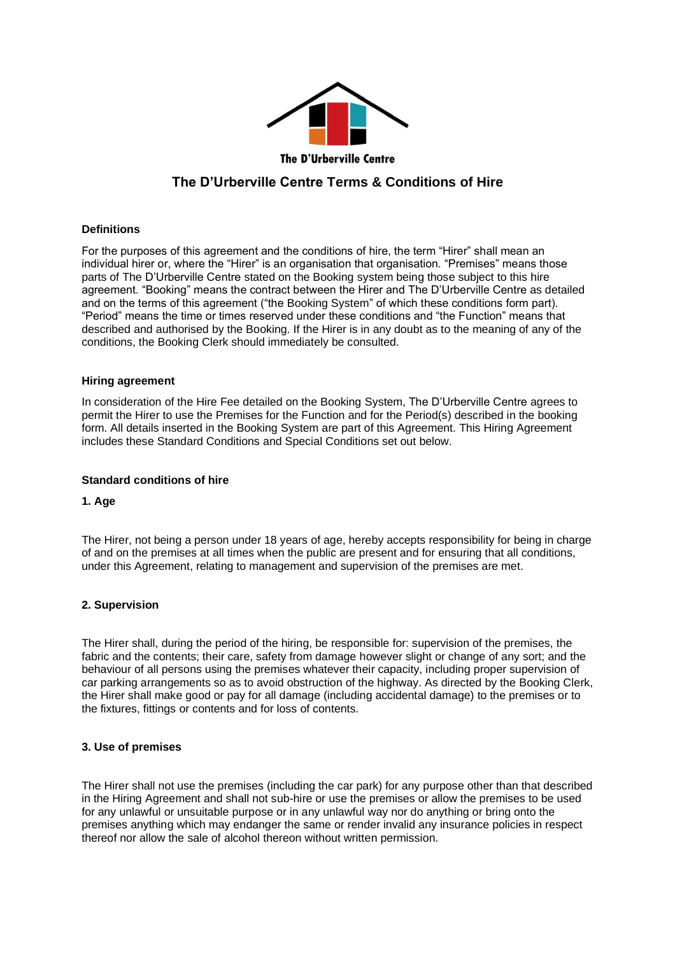

# **The D'Urberville Centre Terms & Conditions of Hire**

# **Definitions**

For the purposes of this agreement and the conditions of hire, the term "Hirer" shall mean an individual hirer or, where the "Hirer" is an organisation that organisation. "Premises" means those parts of The D'Urberville Centre stated on the Booking system being those subject to this hire agreement. "Booking" means the contract between the Hirer and The D'Urberville Centre as detailed and on the terms of this agreement ("the Booking System" of which these conditions form part). "Period" means the time or times reserved under these conditions and "the Function" means that described and authorised by the Booking. If the Hirer is in any doubt as to the meaning of any of the conditions, the Booking Clerk should immediately be consulted.

## **Hiring agreement**

In consideration of the Hire Fee detailed on the Booking System, The D'Urberville Centre agrees to permit the Hirer to use the Premises for the Function and for the Period(s) described in the booking form. All details inserted in the Booking System are part of this Agreement. This Hiring Agreement includes these Standard Conditions and Special Conditions set out below.

## **Standard conditions of hire**

## **1. Age**

The Hirer, not being a person under 18 years of age, hereby accepts responsibility for being in charge of and on the premises at all times when the public are present and for ensuring that all conditions, under this Agreement, relating to management and supervision of the premises are met.

## **2. Supervision**

The Hirer shall, during the period of the hiring, be responsible for: supervision of the premises, the fabric and the contents; their care, safety from damage however slight or change of any sort; and the behaviour of all persons using the premises whatever their capacity, including proper supervision of car parking arrangements so as to avoid obstruction of the highway. As directed by the Booking Clerk, the Hirer shall make good or pay for all damage (including accidental damage) to the premises or to the fixtures, fittings or contents and for loss of contents.

## **3. Use of premises**

The Hirer shall not use the premises (including the car park) for any purpose other than that described in the Hiring Agreement and shall not sub-hire or use the premises or allow the premises to be used for any unlawful or unsuitable purpose or in any unlawful way nor do anything or bring onto the premises anything which may endanger the same or render invalid any insurance policies in respect thereof nor allow the sale of alcohol thereon without written permission.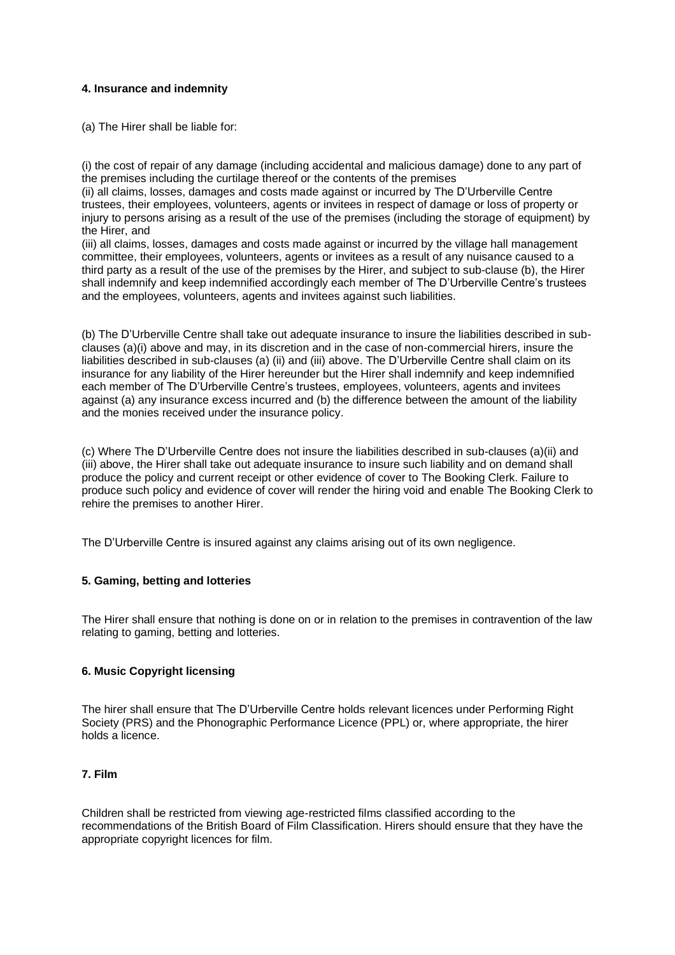# **4. Insurance and indemnity**

(a) The Hirer shall be liable for:

(i) the cost of repair of any damage (including accidental and malicious damage) done to any part of the premises including the curtilage thereof or the contents of the premises

(ii) all claims, losses, damages and costs made against or incurred by The D'Urberville Centre trustees, their employees, volunteers, agents or invitees in respect of damage or loss of property or injury to persons arising as a result of the use of the premises (including the storage of equipment) by the Hirer, and

(iii) all claims, losses, damages and costs made against or incurred by the village hall management committee, their employees, volunteers, agents or invitees as a result of any nuisance caused to a third party as a result of the use of the premises by the Hirer, and subject to sub-clause (b), the Hirer shall indemnify and keep indemnified accordingly each member of The D'Urberville Centre's trustees and the employees, volunteers, agents and invitees against such liabilities.

(b) The D'Urberville Centre shall take out adequate insurance to insure the liabilities described in subclauses (a)(i) above and may, in its discretion and in the case of non-commercial hirers, insure the liabilities described in sub-clauses (a) (ii) and (iii) above. The D'Urberville Centre shall claim on its insurance for any liability of the Hirer hereunder but the Hirer shall indemnify and keep indemnified each member of The D'Urberville Centre's trustees, employees, volunteers, agents and invitees against (a) any insurance excess incurred and (b) the difference between the amount of the liability and the monies received under the insurance policy.

(c) Where The D'Urberville Centre does not insure the liabilities described in sub-clauses (a)(ii) and (iii) above, the Hirer shall take out adequate insurance to insure such liability and on demand shall produce the policy and current receipt or other evidence of cover to The Booking Clerk. Failure to produce such policy and evidence of cover will render the hiring void and enable The Booking Clerk to rehire the premises to another Hirer.

The D'Urberville Centre is insured against any claims arising out of its own negligence.

# **5. Gaming, betting and lotteries**

The Hirer shall ensure that nothing is done on or in relation to the premises in contravention of the law relating to gaming, betting and lotteries.

# **6. Music Copyright licensing**

The hirer shall ensure that The D'Urberville Centre holds relevant licences under Performing Right Society (PRS) and the Phonographic Performance Licence (PPL) or, where appropriate, the hirer holds a licence.

## **7. Film**

Children shall be restricted from viewing age-restricted films classified according to the recommendations of the British Board of Film Classification. Hirers should ensure that they have the appropriate copyright licences for film.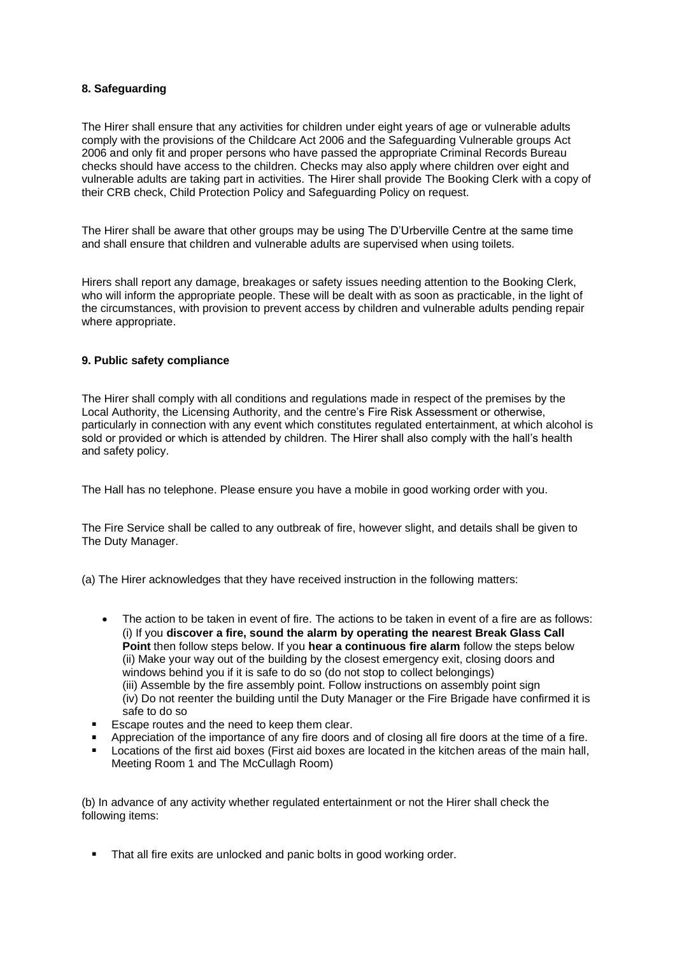# **8. Safeguarding**

The Hirer shall ensure that any activities for children under eight years of age or vulnerable adults comply with the provisions of the Childcare Act 2006 and the Safeguarding Vulnerable groups Act 2006 and only fit and proper persons who have passed the appropriate Criminal Records Bureau checks should have access to the children. Checks may also apply where children over eight and vulnerable adults are taking part in activities. The Hirer shall provide The Booking Clerk with a copy of their CRB check, Child Protection Policy and Safeguarding Policy on request.

The Hirer shall be aware that other groups may be using The D'Urberville Centre at the same time and shall ensure that children and vulnerable adults are supervised when using toilets.

Hirers shall report any damage, breakages or safety issues needing attention to the Booking Clerk, who will inform the appropriate people. These will be dealt with as soon as practicable, in the light of the circumstances, with provision to prevent access by children and vulnerable adults pending repair where appropriate.

## **9. Public safety compliance**

The Hirer shall comply with all conditions and regulations made in respect of the premises by the Local Authority, the Licensing Authority, and the centre's Fire Risk Assessment or otherwise, particularly in connection with any event which constitutes regulated entertainment, at which alcohol is sold or provided or which is attended by children. The Hirer shall also comply with the hall's health and safety policy.

The Hall has no telephone. Please ensure you have a mobile in good working order with you.

The Fire Service shall be called to any outbreak of fire, however slight, and details shall be given to The Duty Manager.

(a) The Hirer acknowledges that they have received instruction in the following matters:

- The action to be taken in event of fire. The actions to be taken in event of a fire are as follows: (i) If you **discover a fire, sound the alarm by operating the nearest Break Glass Call Point** then follow steps below. If you **hear a continuous fire alarm** follow the steps below (ii) Make your way out of the building by the closest emergency exit, closing doors and windows behind you if it is safe to do so (do not stop to collect belongings) (iii) Assemble by the fire assembly point. Follow instructions on assembly point sign (iv) Do not reenter the building until the Duty Manager or the Fire Brigade have confirmed it is safe to do so
- Escape routes and the need to keep them clear.
- Appreciation of the importance of any fire doors and of closing all fire doors at the time of a fire.
- Locations of the first aid boxes (First aid boxes are located in the kitchen areas of the main hall, Meeting Room 1 and The McCullagh Room)

(b) In advance of any activity whether regulated entertainment or not the Hirer shall check the following items:

That all fire exits are unlocked and panic bolts in good working order.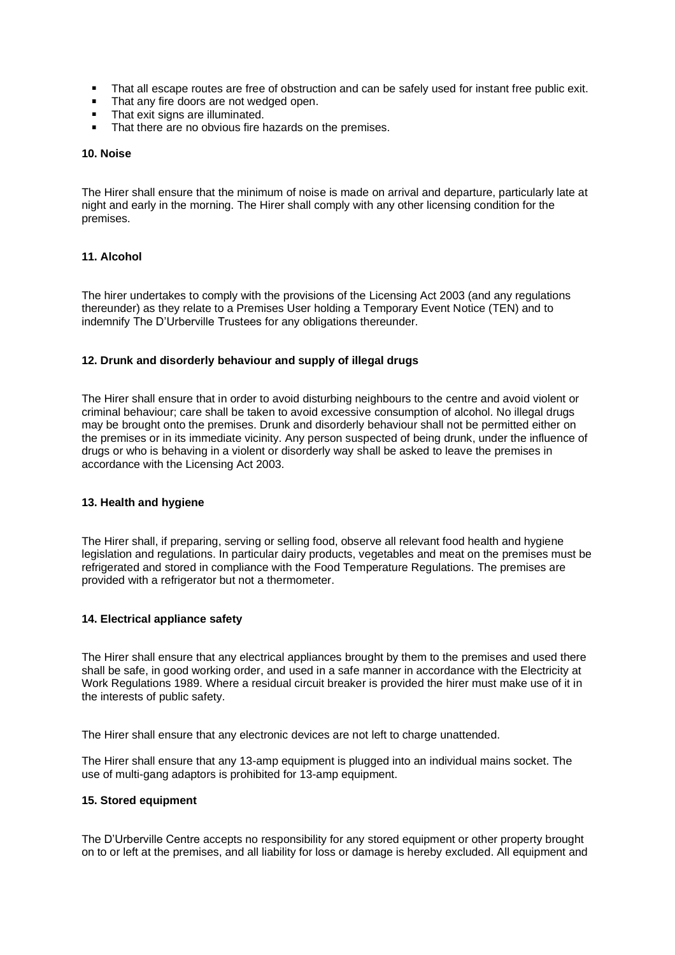- That all escape routes are free of obstruction and can be safely used for instant free public exit.  $\blacksquare$
- That any fire doors are not wedged open.
- $\blacksquare$ That exit signs are illuminated.
- That there are no obvious fire hazards on the premises.

#### **10. Noise**

The Hirer shall ensure that the minimum of noise is made on arrival and departure, particularly late at night and early in the morning. The Hirer shall comply with any other licensing condition for the premises.

## **11. Alcohol**

The hirer undertakes to comply with the provisions of the Licensing Act 2003 (and any regulations thereunder) as they relate to a Premises User holding a Temporary Event Notice (TEN) and to indemnify The D'Urberville Trustees for any obligations thereunder.

## **12. Drunk and disorderly behaviour and supply of illegal drugs**

The Hirer shall ensure that in order to avoid disturbing neighbours to the centre and avoid violent or criminal behaviour; care shall be taken to avoid excessive consumption of alcohol. No illegal drugs may be brought onto the premises. Drunk and disorderly behaviour shall not be permitted either on the premises or in its immediate vicinity. Any person suspected of being drunk, under the influence of drugs or who is behaving in a violent or disorderly way shall be asked to leave the premises in accordance with the Licensing Act 2003.

## **13. Health and hygiene**

The Hirer shall, if preparing, serving or selling food, observe all relevant food health and hygiene legislation and regulations. In particular dairy products, vegetables and meat on the premises must be refrigerated and stored in compliance with the Food Temperature Regulations. The premises are provided with a refrigerator but not a thermometer.

## **14. Electrical appliance safety**

The Hirer shall ensure that any electrical appliances brought by them to the premises and used there shall be safe, in good working order, and used in a safe manner in accordance with the Electricity at Work Regulations 1989. Where a residual circuit breaker is provided the hirer must make use of it in the interests of public safety.

The Hirer shall ensure that any electronic devices are not left to charge unattended.

The Hirer shall ensure that any 13-amp equipment is plugged into an individual mains socket. The use of multi-gang adaptors is prohibited for 13-amp equipment.

# **15. Stored equipment**

The D'Urberville Centre accepts no responsibility for any stored equipment or other property brought on to or left at the premises, and all liability for loss or damage is hereby excluded. All equipment and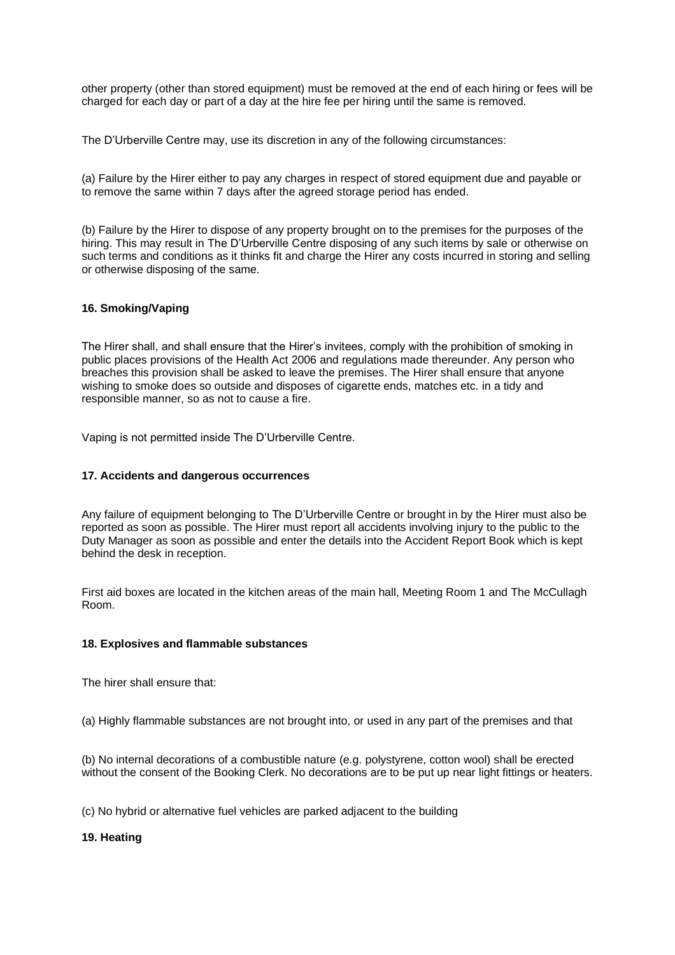other property (other than stored equipment) must be removed at the end of each hiring or fees will be charged for each day or part of a day at the hire fee per hiring until the same is removed.

The D'Urberville Centre may, use its discretion in any of the following circumstances:

(a) Failure by the Hirer either to pay any charges in respect of stored equipment due and payable or to remove the same within 7 days after the agreed storage period has ended.

(b) Failure by the Hirer to dispose of any property brought on to the premises for the purposes of the hiring. This may result in The D'Urberville Centre disposing of any such items by sale or otherwise on such terms and conditions as it thinks fit and charge the Hirer any costs incurred in storing and selling or otherwise disposing of the same.

## **16. Smoking/Vaping**

The Hirer shall, and shall ensure that the Hirer's invitees, comply with the prohibition of smoking in public places provisions of the Health Act 2006 and regulations made thereunder. Any person who breaches this provision shall be asked to leave the premises. The Hirer shall ensure that anyone wishing to smoke does so outside and disposes of cigarette ends, matches etc. in a tidy and responsible manner, so as not to cause a fire.

Vaping is not permitted inside The D'Urberville Centre.

## **17. Accidents and dangerous occurrences**

Any failure of equipment belonging to The D'Urberville Centre or brought in by the Hirer must also be reported as soon as possible. The Hirer must report all accidents involving injury to the public to the Duty Manager as soon as possible and enter the details into the Accident Report Book which is kept behind the desk in reception.

First aid boxes are located in the kitchen areas of the main hall, Meeting Room 1 and The McCullagh Room.

## **18. Explosives and flammable substances**

The hirer shall ensure that:

(a) Highly flammable substances are not brought into, or used in any part of the premises and that

(b) No internal decorations of a combustible nature (e.g. polystyrene, cotton wool) shall be erected without the consent of the Booking Clerk. No decorations are to be put up near light fittings or heaters.

(c) No hybrid or alternative fuel vehicles are parked adjacent to the building

**19. Heating**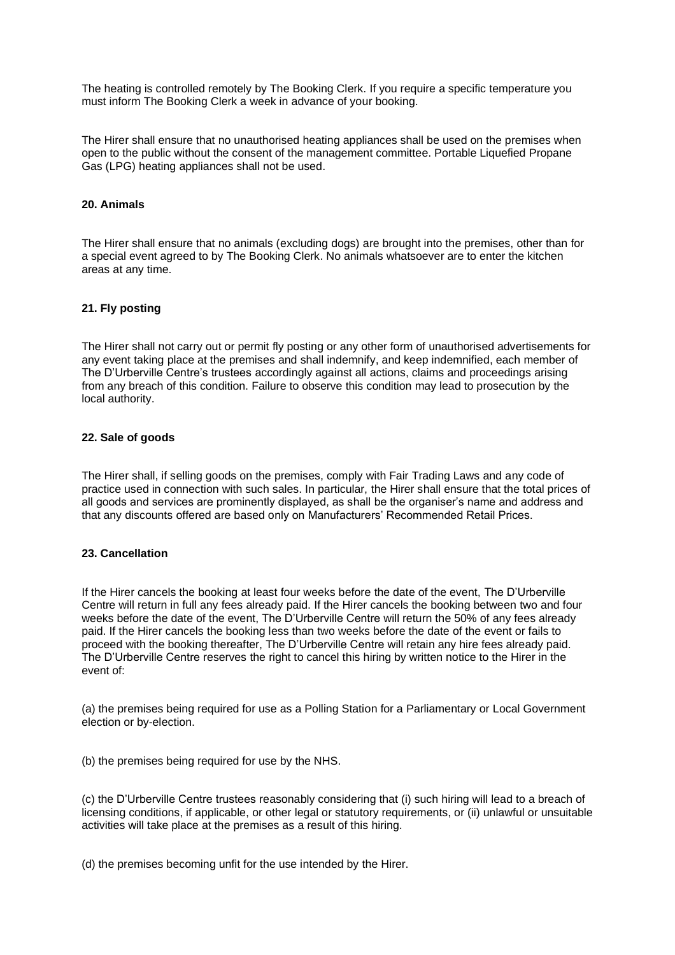The heating is controlled remotely by The Booking Clerk. If you require a specific temperature you must inform The Booking Clerk a week in advance of your booking.

The Hirer shall ensure that no unauthorised heating appliances shall be used on the premises when open to the public without the consent of the management committee. Portable Liquefied Propane Gas (LPG) heating appliances shall not be used.

## **20. Animals**

The Hirer shall ensure that no animals (excluding dogs) are brought into the premises, other than for a special event agreed to by The Booking Clerk. No animals whatsoever are to enter the kitchen areas at any time.

## **21. Fly posting**

The Hirer shall not carry out or permit fly posting or any other form of unauthorised advertisements for any event taking place at the premises and shall indemnify, and keep indemnified, each member of The D'Urberville Centre's trustees accordingly against all actions, claims and proceedings arising from any breach of this condition. Failure to observe this condition may lead to prosecution by the local authority.

#### **22. Sale of goods**

The Hirer shall, if selling goods on the premises, comply with Fair Trading Laws and any code of practice used in connection with such sales. In particular, the Hirer shall ensure that the total prices of all goods and services are prominently displayed, as shall be the organiser's name and address and that any discounts offered are based only on Manufacturers' Recommended Retail Prices.

## **23. Cancellation**

If the Hirer cancels the booking at least four weeks before the date of the event, The D'Urberville Centre will return in full any fees already paid. If the Hirer cancels the booking between two and four weeks before the date of the event, The D'Urberville Centre will return the 50% of any fees already paid. If the Hirer cancels the booking less than two weeks before the date of the event or fails to proceed with the booking thereafter, The D'Urberville Centre will retain any hire fees already paid. The D'Urberville Centre reserves the right to cancel this hiring by written notice to the Hirer in the event of:

(a) the premises being required for use as a Polling Station for a Parliamentary or Local Government election or by-election.

(b) the premises being required for use by the NHS.

(c) the D'Urberville Centre trustees reasonably considering that (i) such hiring will lead to a breach of licensing conditions, if applicable, or other legal or statutory requirements, or (ii) unlawful or unsuitable activities will take place at the premises as a result of this hiring.

(d) the premises becoming unfit for the use intended by the Hirer.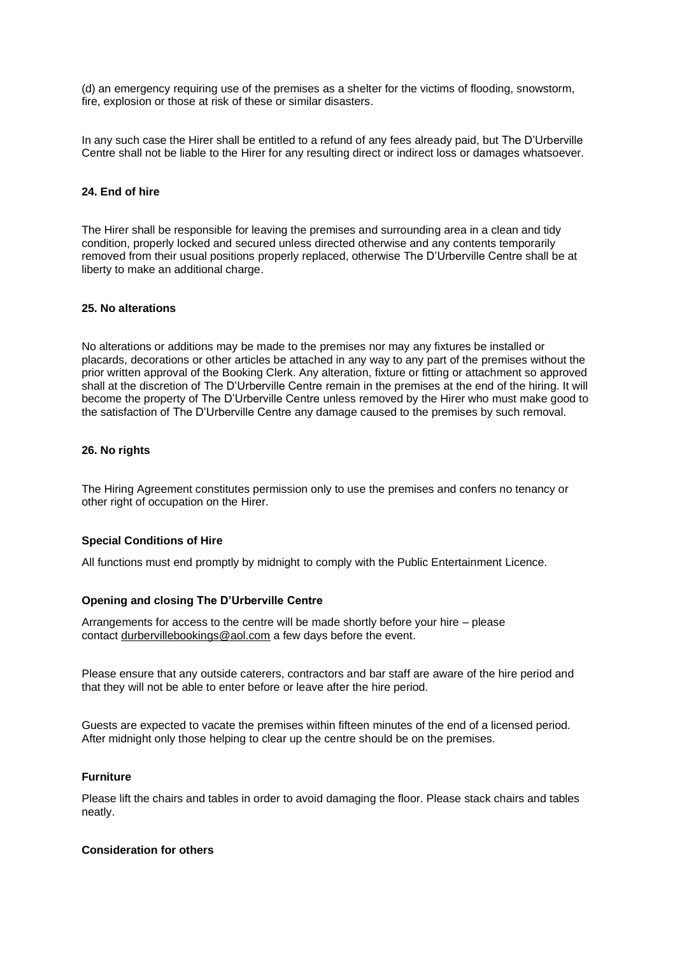(d) an emergency requiring use of the premises as a shelter for the victims of flooding, snowstorm, fire, explosion or those at risk of these or similar disasters.

In any such case the Hirer shall be entitled to a refund of any fees already paid, but The D'Urberville Centre shall not be liable to the Hirer for any resulting direct or indirect loss or damages whatsoever.

## **24. End of hire**

The Hirer shall be responsible for leaving the premises and surrounding area in a clean and tidy condition, properly locked and secured unless directed otherwise and any contents temporarily removed from their usual positions properly replaced, otherwise The D'Urberville Centre shall be at liberty to make an additional charge.

## **25. No alterations**

No alterations or additions may be made to the premises nor may any fixtures be installed or placards, decorations or other articles be attached in any way to any part of the premises without the prior written approval of the Booking Clerk. Any alteration, fixture or fitting or attachment so approved shall at the discretion of The D'Urberville Centre remain in the premises at the end of the hiring. It will become the property of The D'Urberville Centre unless removed by the Hirer who must make good to the satisfaction of The D'Urberville Centre any damage caused to the premises by such removal.

## **26. No rights**

The Hiring Agreement constitutes permission only to use the premises and confers no tenancy or other right of occupation on the Hirer.

## **Special Conditions of Hire**

All functions must end promptly by midnight to comply with the Public Entertainment Licence.

## **Opening and closing The D'Urberville Centre**

Arrangements for access to the centre will be made shortly before your hire – please contact [durbervillebookings@aol.com](mailto:durbervillebookings@aol.com) a few days before the event.

Please ensure that any outside caterers, contractors and bar staff are aware of the hire period and that they will not be able to enter before or leave after the hire period.

Guests are expected to vacate the premises within fifteen minutes of the end of a licensed period. After midnight only those helping to clear up the centre should be on the premises.

# **Furniture**

Please lift the chairs and tables in order to avoid damaging the floor. Please stack chairs and tables neatly.

## **Consideration for others**